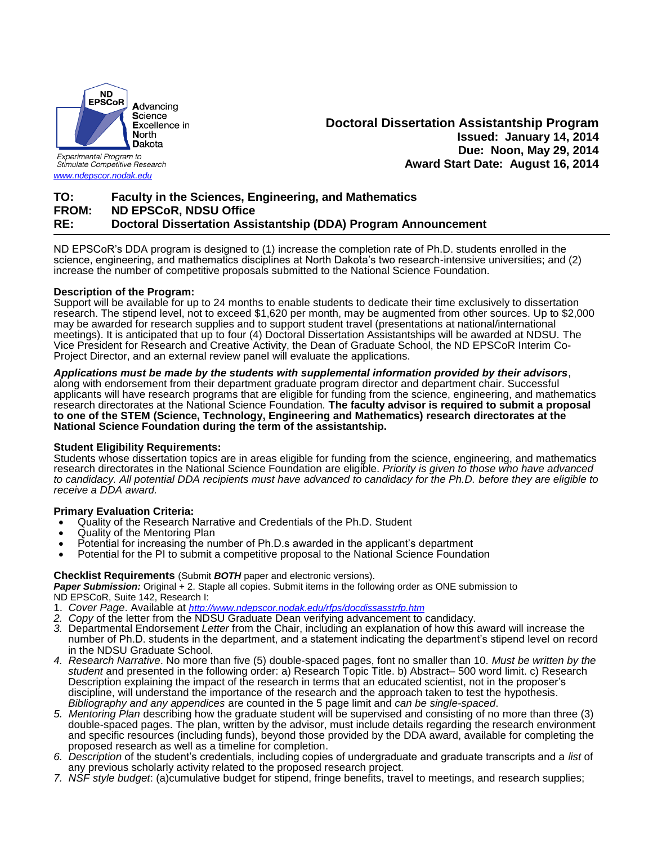

Stimulate Competitive Research

*[www.ndepscor.nodak.edu](http://www.ndepscor.nodak.edu/)*

## **Doctoral Dissertation Assistantship Program Issued: January 14, 2014 Due: Noon, May 29, 2014 Award Start Date: August 16, 2014**

# **TO: Faculty in the Sciences, Engineering, and Mathematics FROM: ND EPSCoR, NDSU Office RE: Doctoral Dissertation Assistantship (DDA) Program Announcement**

ND EPSCoR's DDA program is designed to (1) increase the completion rate of Ph.D. students enrolled in the science, engineering, and mathematics disciplines at North Dakota's two research-intensive universities; and (2) increase the number of competitive proposals submitted to the National Science Foundation.

### **Description of the Program:**

Support will be available for up to 24 months to enable students to dedicate their time exclusively to dissertation research. The stipend level, not to exceed \$1,620 per month, may be augmented from other sources. Up to \$2,000 may be awarded for research supplies and to support student travel (presentations at national/international meetings). It is anticipated that up to four (4) Doctoral Dissertation Assistantships will be awarded at NDSU. The Vice President for Research and Creative Activity, the Dean of Graduate School, the ND EPSCoR Interim Co-Project Director, and an external review panel will evaluate the applications.

### *Applications must be made by the students with supplemental information provided by their advisors*,

along with endorsement from their department graduate program director and department chair. Successful applicants will have research programs that are eligible for funding from the science, engineering, and mathematics research directorates at the National Science Foundation. **The faculty advisor is required to submit a proposal to one of the STEM (Science, Technology, Engineering and Mathematics) research directorates at the National Science Foundation during the term of the assistantship.**

### **Student Eligibility Requirements:**

Students whose dissertation topics are in areas eligible for funding from the science, engineering, and mathematics research directorates in the National Science Foundation are eligible. *Priority is given to those who have advanced to candidacy. All potential DDA recipients must have advanced to candidacy for the Ph.D. before they are eligible to receive a DDA award.*

### **Primary Evaluation Criteria:**

- Quality of the Research Narrative and Credentials of the Ph.D. Student
- Quality of the Mentoring Plan
- Potential for increasing the number of Ph.D.s awarded in the applicant's department
- Potential for the PI to submit a competitive proposal to the National Science Foundation

#### **Checklist Requirements** (Submit *BOTH* paper and electronic versions).

*Paper Submission:* Original + 2. Staple all copies. Submit items in the following order as ONE submission to ND EPSCoR, Suite 142, Research I:

- 1. *Cover Page*. Available at *<http://www.ndepscor.nodak.edu/rfps/docdissasstrfp.htm>*
- *2. Copy* of the letter from the NDSU Graduate Dean verifying advancement to candidacy.
- *3.* Departmental Endorsement *Letter* from the Chair, including an explanation of how this award will increase the number of Ph.D. students in the department, and a statement indicating the department's stipend level on record in the NDSU Graduate School.
- *4. Research Narrative*. No more than five (5) double-spaced pages, font no smaller than 10. *Must be written by the student* and presented in the following order: a) Research Topic Title. b) Abstract– 500 word limit. c) Research Description explaining the impact of the research in terms that an educated scientist, not in the proposer's discipline, will understand the importance of the research and the approach taken to test the hypothesis. *Bibliography and any appendices* are counted in the 5 page limit and *can be single-spaced*.
- *5. Mentoring Plan* describing how the graduate student will be supervised and consisting of no more than three (3) double-spaced pages. The plan, written by the advisor, must include details regarding the research environment and specific resources (including funds), beyond those provided by the DDA award, available for completing the proposed research as well as a timeline for completion.
- *6. Description* of the student's credentials, including copies of undergraduate and graduate transcripts and a *list* of any previous scholarly activity related to the proposed research project.
- *7. NSF style budget*: (a)cumulative budget for stipend, fringe benefits, travel to meetings, and research supplies;